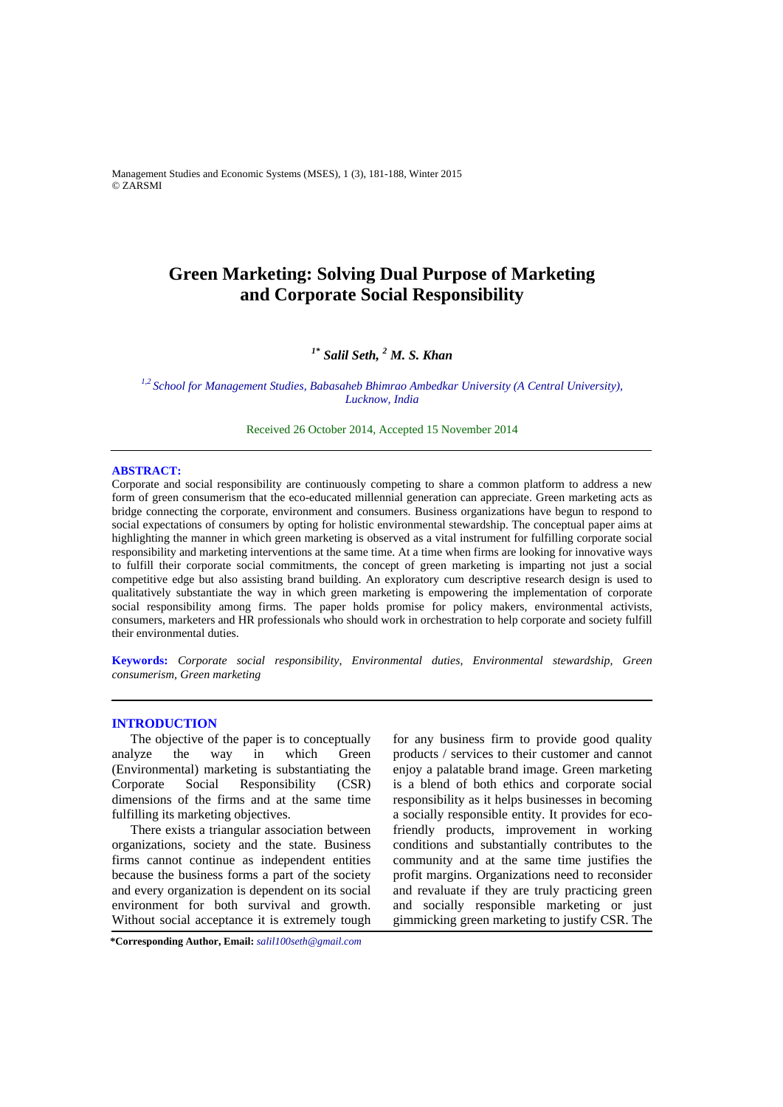Management Studies and Economic Systems (MSES), 1 (3), 181-188, Winter 2015 © ZARSMI

# **Green Marketing: Solving Dual Purpose of Marketing and Corporate Social Responsibility**

## *1\* Salil Seth, 2 M. S. Khan*

*1,2 School for Management Studies, Babasaheb Bhimrao Ambedkar University (A Central University), Lucknow, India* 

> Received 26 October 2014, Accepted 15 November 2014

## **ABSTRACT:**

Corporate and social responsibility are continuously competing to share a common platform to address a new form of green consumerism that the eco-educated millennial generation can appreciate. Green marketing acts as bridge connecting the corporate, environment and consumers. Business organizations have begun to respond to social expectations of consumers by opting for holistic environmental stewardship. The conceptual paper aims at highlighting the manner in which green marketing is observed as a vital instrument for fulfilling corporate social responsibility and marketing interventions at the same time. At a time when firms are looking for innovative ways to fulfill their corporate social commitments, the concept of green marketing is imparting not just a social competitive edge but also assisting brand building. An exploratory cum descriptive research design is used to qualitatively substantiate the way in which green marketing is empowering the implementation of corporate social responsibility among firms. The paper holds promise for policy makers, environmental activists, consumers, marketers and HR professionals who should work in orchestration to help corporate and society fulfill their environmental duties.

**Keywords:** *Corporate social responsibility, Environmental duties, Environmental stewardship, Green consumerism, Green marketing* 

#### **INTRODUCTION**

The objective of the paper is to conceptually analyze the way in which Green (Environmental) marketing is substantiating the<br>Corporate Social Responsibility (CSR) Corporate Social Responsibility dimensions of the firms and at the same time fulfilling its marketing objectives.

There exists a triangular association between organizations, society and the state. Business firms cannot continue as independent entities because the business forms a part of the society and every organization is dependent on its social environment for both survival and growth. Without social acceptance it is extremely tough

**\*Corresponding Author, Email:** *salil100seth@gmail.com*

for any business firm to provide good quality products / services to their customer and cannot enjoy a palatable brand image. Green marketing is a blend of both ethics and corporate social responsibility as it helps businesses in becoming a socially responsible entity. It provides for ecofriendly products, improvement in working conditions and substantially contributes to the community and at the same time justifies the profit margins. Organizations need to reconsider and revaluate if they are truly practicing green and socially responsible marketing or just gimmicking green marketing to justify CSR. The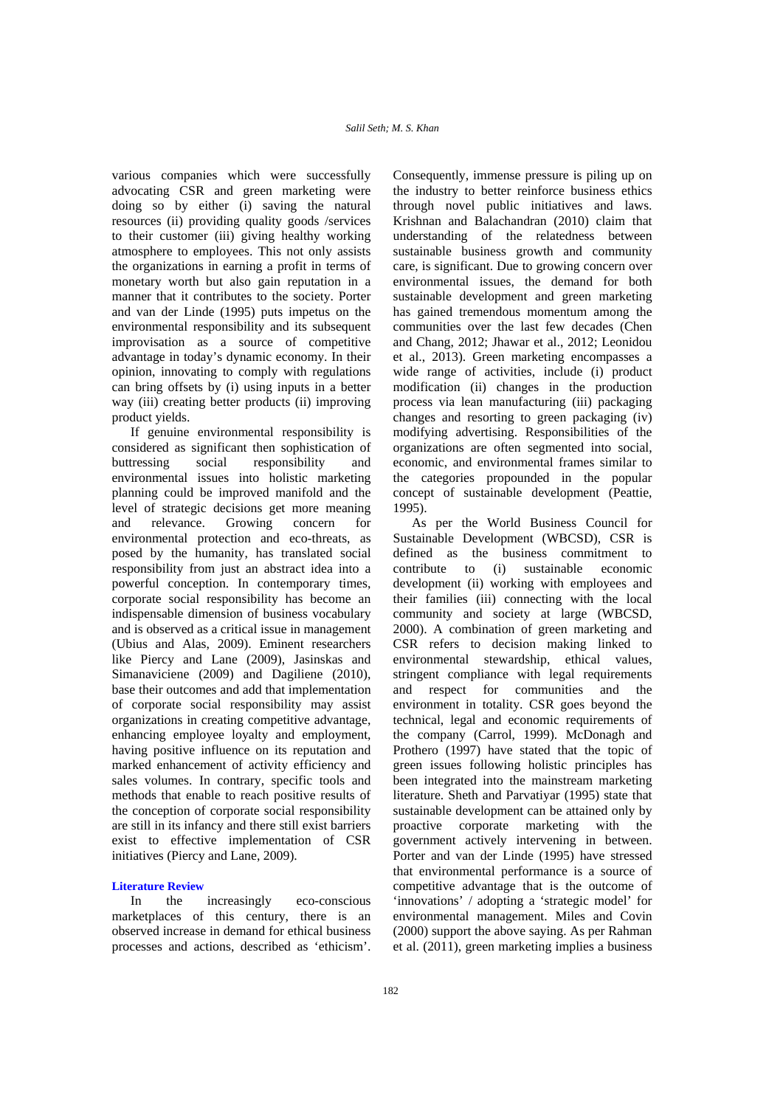various companies which were successfully advocating CSR and green marketing were doing so by either (i) saving the natural resources (ii) providing quality goods /services to their customer (iii) giving healthy working atmosphere to employees. This not only assists the organizations in earning a profit in terms of monetary worth but also gain reputation in a manner that it contributes to the society. Porter and van der Linde (1995) puts impetus on the environmental responsibility and its subsequent improvisation as a source of competitive advantage in today's dynamic economy. In their opinion, innovating to comply with regulations can bring offsets by (i) using inputs in a better way (iii) creating better products (ii) improving product yields.

If genuine environmental responsibility is considered as significant then sophistication of buttressing social responsibility and environmental issues into holistic marketing planning could be improved manifold and the level of strategic decisions get more meaning and relevance. Growing concern for environmental protection and eco-threats, as posed by the humanity, has translated social responsibility from just an abstract idea into a powerful conception. In contemporary times, corporate social responsibility has become an indispensable dimension of business vocabulary and is observed as a critical issue in management (Ubius and Alas, 2009). Eminent researchers like Piercy and Lane (2009), Jasinskas and Simanaviciene (2009) and Dagiliene (2010), base their outcomes and add that implementation of corporate social responsibility may assist organizations in creating competitive advantage, enhancing employee loyalty and employment, having positive influence on its reputation and marked enhancement of activity efficiency and sales volumes. In contrary, specific tools and methods that enable to reach positive results of the conception of corporate social responsibility are still in its infancy and there still exist barriers exist to effective implementation of CSR initiatives (Piercy and Lane, 2009).

#### **Literature Review**

In the increasingly eco-conscious marketplaces of this century, there is an observed increase in demand for ethical business processes and actions, described as 'ethicism'.

Consequently, immense pressure is piling up on the industry to better reinforce business ethics through novel public initiatives and laws. Krishnan and Balachandran (2010) claim that understanding of the relatedness between sustainable business growth and community care, is significant. Due to growing concern over environmental issues, the demand for both sustainable development and green marketing has gained tremendous momentum among the communities over the last few decades (Chen and Chang, 2012; Jhawar et al., 2012; Leonidou et al., 2013). Green marketing encompasses a wide range of activities, include (i) product modification (ii) changes in the production process via lean manufacturing (iii) packaging changes and resorting to green packaging (iv) modifying advertising. Responsibilities of the organizations are often segmented into social, economic, and environmental frames similar to the categories propounded in the popular concept of sustainable development (Peattie, 1995).

As per the World Business Council for Sustainable Development (WBCSD), CSR is defined as the business commitment to contribute to (i) sustainable economic development (ii) working with employees and their families (iii) connecting with the local community and society at large (WBCSD, 2000). A combination of green marketing and CSR refers to decision making linked to environmental stewardship, ethical values, stringent compliance with legal requirements and respect for communities and the environment in totality. CSR goes beyond the technical, legal and economic requirements of the company (Carrol, 1999). McDonagh and Prothero (1997) have stated that the topic of green issues following holistic principles has been integrated into the mainstream marketing literature. Sheth and Parvatiyar (1995) state that sustainable development can be attained only by proactive corporate marketing with the government actively intervening in between. Porter and van der Linde (1995) have stressed that environmental performance is a source of competitive advantage that is the outcome of 'innovations' / adopting a 'strategic model' for environmental management. Miles and Covin (2000) support the above saying. As per Rahman et al. (2011), green marketing implies a business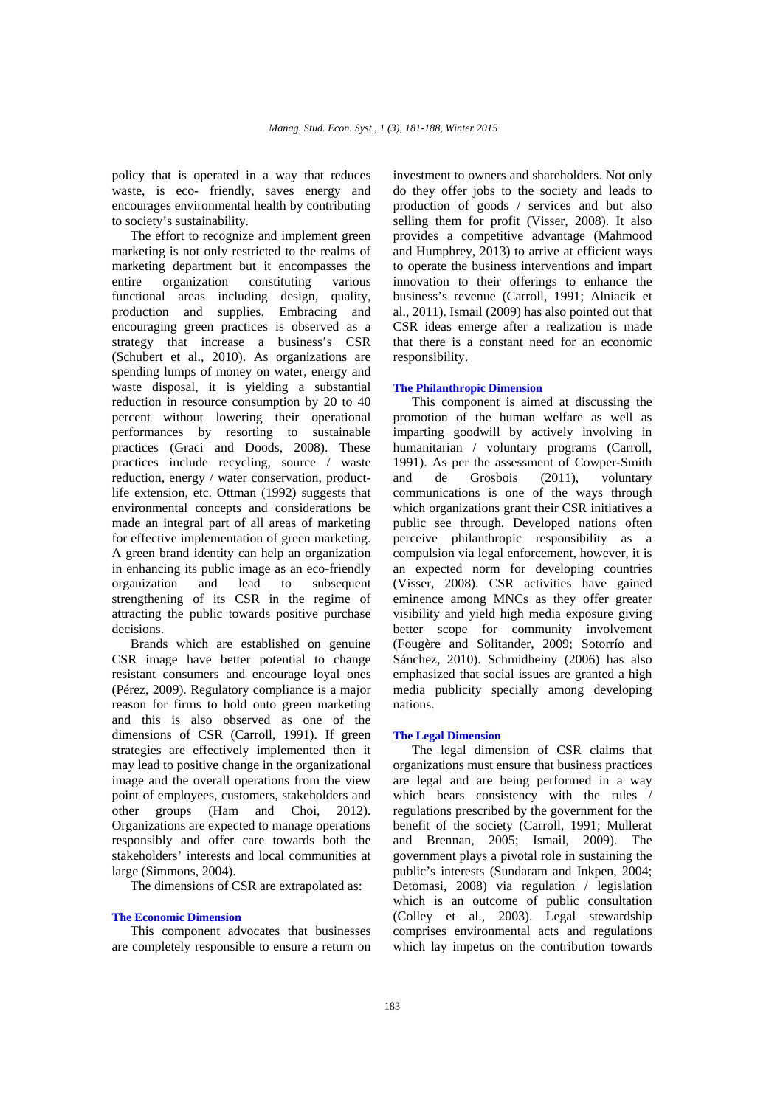policy that is operated in a way that reduces waste, is eco- friendly, saves energy and encourages environmental health by contributing to society's sustainability.

The effort to recognize and implement green marketing is not only restricted to the realms of marketing department but it encompasses the<br>entire organization constituting various entire organization constituting various functional areas including design, quality, production and supplies. Embracing and encouraging green practices is observed as a strategy that increase a business's CSR (Schubert et al., 2010). As organizations are spending lumps of money on water, energy and waste disposal, it is yielding a substantial reduction in resource consumption by 20 to 40 percent without lowering their operational performances by resorting to sustainable practices (Graci and Doods, 2008). These practices include recycling, source / waste reduction, energy / water conservation, productlife extension, etc. Ottman (1992) suggests that environmental concepts and considerations be made an integral part of all areas of marketing for effective implementation of green marketing. A green brand identity can help an organization in enhancing its public image as an eco-friendly organization and lead to subsequent strengthening of its CSR in the regime of attracting the public towards positive purchase decisions.

Brands which are established on genuine CSR image have better potential to change resistant consumers and encourage loyal ones (Pérez, 2009). Regulatory compliance is a major reason for firms to hold onto green marketing and this is also observed as one of the dimensions of CSR (Carroll, 1991). If green strategies are effectively implemented then it may lead to positive change in the organizational image and the overall operations from the view point of employees, customers, stakeholders and other groups (Ham and Choi, 2012). Organizations are expected to manage operations responsibly and offer care towards both the stakeholders' interests and local communities at large (Simmons, 2004).

The dimensions of CSR are extrapolated as:

## **The Economic Dimension**

This component advocates that businesses are completely responsible to ensure a return on investment to owners and shareholders. Not only do they offer jobs to the society and leads to production of goods / services and but also selling them for profit (Visser, 2008). It also provides a competitive advantage (Mahmood and Humphrey, 2013) to arrive at efficient ways to operate the business interventions and impart innovation to their offerings to enhance the business's revenue (Carroll, 1991; Alniacik et al., 2011). Ismail (2009) has also pointed out that CSR ideas emerge after a realization is made that there is a constant need for an economic responsibility.

#### **The Philanthropic Dimension**

This component is aimed at discussing the promotion of the human welfare as well as imparting goodwill by actively involving in humanitarian / voluntary programs (Carroll, 1991). As per the assessment of Cowper-Smith and de Grosbois (2011), voluntary communications is one of the ways through which organizations grant their CSR initiatives a public see through. Developed nations often perceive philanthropic responsibility as a compulsion via legal enforcement, however, it is an expected norm for developing countries (Visser, 2008). CSR activities have gained eminence among MNCs as they offer greater visibility and yield high media exposure giving better scope for community involvement (Fougère and Solitander, 2009; Sotorrío and Sánchez, 2010). Schmidheiny (2006) has also emphasized that social issues are granted a high media publicity specially among developing nations.

#### **The Legal Dimension**

The legal dimension of CSR claims that organizations must ensure that business practices are legal and are being performed in a way which bears consistency with the rules / regulations prescribed by the government for the benefit of the society (Carroll, 1991; Mullerat and Brennan, 2005; Ismail, 2009). The government plays a pivotal role in sustaining the public's interests (Sundaram and Inkpen, 2004; Detomasi, 2008) via regulation / legislation which is an outcome of public consultation (Colley et al., 2003). Legal stewardship comprises environmental acts and regulations which lay impetus on the contribution towards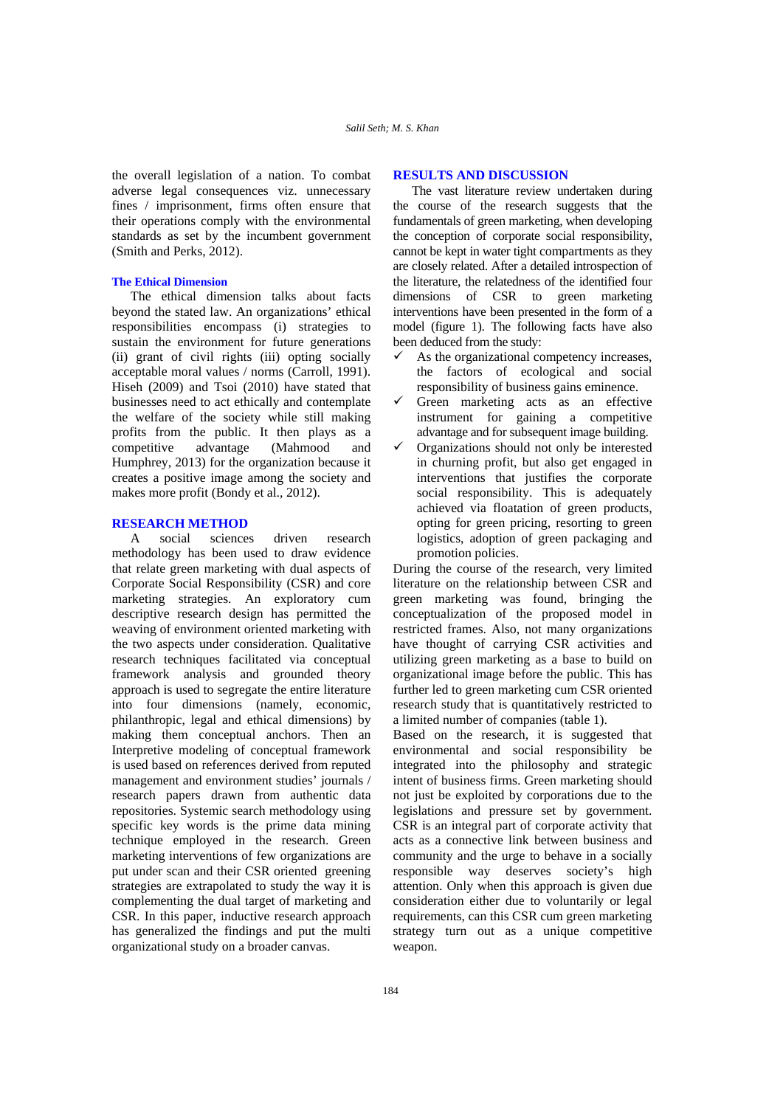the overall legislation of a nation. To combat adverse legal consequences viz. unnecessary fines / imprisonment, firms often ensure that their operations comply with the environmental standards as set by the incumbent government (Smith and Perks, 2012).

## **The Ethical Dimension**

The ethical dimension talks about facts beyond the stated law. An organizations' ethical responsibilities encompass (i) strategies to sustain the environment for future generations (ii) grant of civil rights (iii) opting socially acceptable moral values / norms (Carroll, 1991). Hiseh (2009) and Tsoi (2010) have stated that businesses need to act ethically and contemplate the welfare of the society while still making profits from the public. It then plays as a competitive advantage (Mahmood and Humphrey, 2013) for the organization because it creates a positive image among the society and makes more profit (Bondy et al., 2012).

## **RESEARCH METHOD**

A social sciences driven research methodology has been used to draw evidence that relate green marketing with dual aspects of Corporate Social Responsibility (CSR) and core marketing strategies. An exploratory cum descriptive research design has permitted the weaving of environment oriented marketing with the two aspects under consideration. Qualitative research techniques facilitated via conceptual framework analysis and grounded theory approach is used to segregate the entire literature into four dimensions (namely, economic, philanthropic, legal and ethical dimensions) by making them conceptual anchors. Then an Interpretive modeling of conceptual framework is used based on references derived from reputed management and environment studies' journals / research papers drawn from authentic data repositories. Systemic search methodology using specific key words is the prime data mining technique employed in the research. Green marketing interventions of few organizations are put under scan and their CSR oriented greening strategies are extrapolated to study the way it is complementing the dual target of marketing and CSR. In this paper, inductive research approach has generalized the findings and put the multi organizational study on a broader canvas.

#### **RESULTS AND DISCUSSION**

The vast literature review undertaken during the course of the research suggests that the fundamentals of green marketing, when developing the conception of corporate social responsibility, cannot be kept in water tight compartments as they are closely related. After a detailed introspection of the literature, the relatedness of the identified four dimensions of CSR to green marketing interventions have been presented in the form of a model (figure 1). The following facts have also been deduced from the study:

- $\checkmark$  As the organizational competency increases, the factors of ecological and social responsibility of business gains eminence.
- Green marketing acts as an effective instrument for gaining a competitive advantage and for subsequent image building.
- Organizations should not only be interested in churning profit, but also get engaged in interventions that justifies the corporate social responsibility. This is adequately achieved via floatation of green products, opting for green pricing, resorting to green logistics, adoption of green packaging and promotion policies.

During the course of the research, very limited literature on the relationship between CSR and green marketing was found, bringing the conceptualization of the proposed model in restricted frames. Also, not many organizations have thought of carrying CSR activities and utilizing green marketing as a base to build on organizational image before the public. This has further led to green marketing cum CSR oriented research study that is quantitatively restricted to a limited number of companies (table 1).

Based on the research, it is suggested that environmental and social responsibility be integrated into the philosophy and strategic intent of business firms. Green marketing should not just be exploited by corporations due to the legislations and pressure set by government. CSR is an integral part of corporate activity that acts as a connective link between business and community and the urge to behave in a socially responsible way deserves society's high attention. Only when this approach is given due consideration either due to voluntarily or legal requirements, can this CSR cum green marketing strategy turn out as a unique competitive weapon.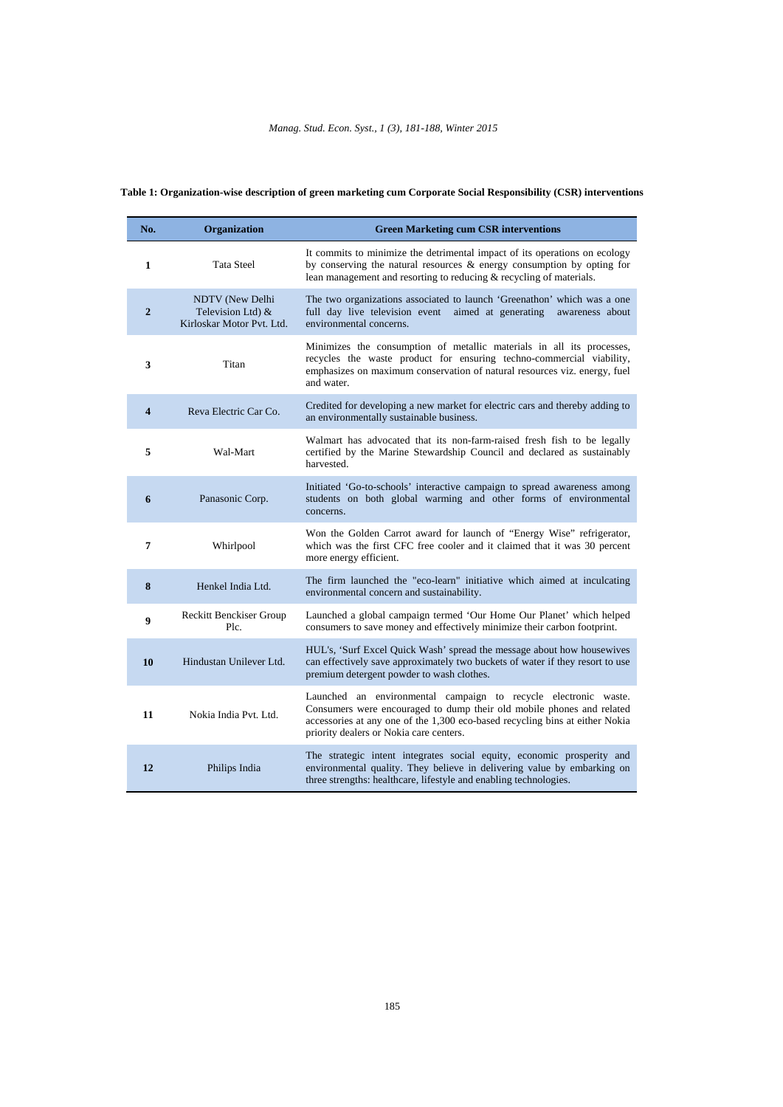| Table 1: Organization-wise description of green marketing cum Corporate Social Responsibility (CSR) interventions |  |
|-------------------------------------------------------------------------------------------------------------------|--|
|                                                                                                                   |  |

| No.                 | <b>Organization</b>                                               | <b>Green Marketing cum CSR interventions</b>                                                                                                                                                                                                                        |
|---------------------|-------------------------------------------------------------------|---------------------------------------------------------------------------------------------------------------------------------------------------------------------------------------------------------------------------------------------------------------------|
| 1                   | <b>Tata Steel</b>                                                 | It commits to minimize the detrimental impact of its operations on ecology<br>by conserving the natural resources $\&$ energy consumption by opting for<br>lean management and resorting to reducing $&$ recycling of materials.                                    |
| $\overline{2}$      | NDTV (New Delhi<br>Television Ltd) &<br>Kirloskar Motor Pyt. Ltd. | The two organizations associated to launch 'Greenathon' which was a one<br>full day live television event<br>aimed at generating<br>awareness about<br>environmental concerns.                                                                                      |
| 3                   | Titan                                                             | Minimizes the consumption of metallic materials in all its processes,<br>recycles the waste product for ensuring techno-commercial viability,<br>emphasizes on maximum conservation of natural resources viz. energy, fuel<br>and water.                            |
| $\overline{\bf{4}}$ | Reva Electric Car Co.                                             | Credited for developing a new market for electric cars and thereby adding to<br>an environmentally sustainable business.                                                                                                                                            |
| 5                   | Wal-Mart                                                          | Walmart has advocated that its non-farm-raised fresh fish to be legally<br>certified by the Marine Stewardship Council and declared as sustainably<br>harvested.                                                                                                    |
| 6                   | Panasonic Corp.                                                   | Initiated 'Go-to-schools' interactive campaign to spread awareness among<br>students on both global warming and other forms of environmental<br>concerns.                                                                                                           |
| 7                   | Whirlpool                                                         | Won the Golden Carrot award for launch of "Energy Wise" refrigerator,<br>which was the first CFC free cooler and it claimed that it was 30 percent<br>more energy efficient.                                                                                        |
| 8                   | Henkel India Ltd.                                                 | The firm launched the "eco-learn" initiative which aimed at inculcating<br>environmental concern and sustainability.                                                                                                                                                |
| $\boldsymbol{9}$    | Reckitt Benckiser Group<br>Plc.                                   | Launched a global campaign termed 'Our Home Our Planet' which helped<br>consumers to save money and effectively minimize their carbon footprint.                                                                                                                    |
| 10                  | Hindustan Unilever Ltd.                                           | HUL's, 'Surf Excel Quick Wash' spread the message about how housewives<br>can effectively save approximately two buckets of water if they resort to use<br>premium detergent powder to wash clothes.                                                                |
| 11                  | Nokia India Pvt. Ltd.                                             | Launched an environmental campaign to recycle electronic waste.<br>Consumers were encouraged to dump their old mobile phones and related<br>accessories at any one of the 1,300 eco-based recycling bins at either Nokia<br>priority dealers or Nokia care centers. |
| 12                  | Philips India                                                     | The strategic intent integrates social equity, economic prosperity and<br>environmental quality. They believe in delivering value by embarking on<br>three strengths: healthcare, lifestyle and enabling technologies.                                              |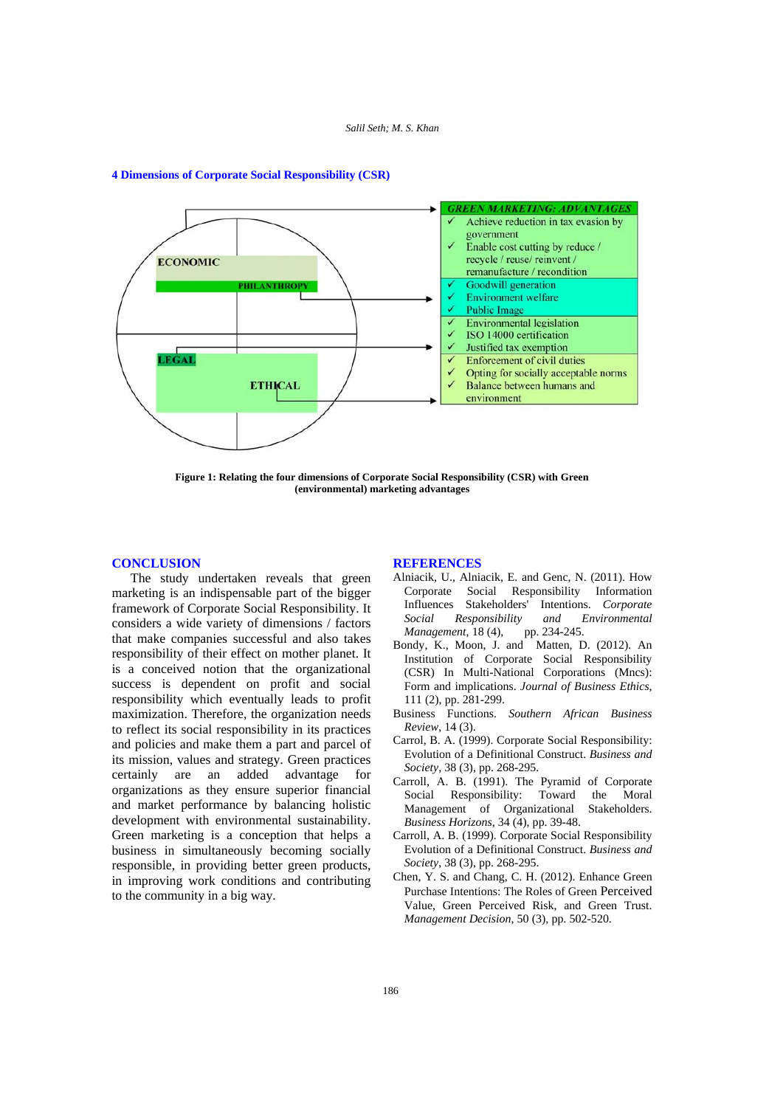*Salil Seth; M. S. Khan* 



#### **4 Dimensions of Corporate Social Responsibility (CSR)**

**Figure 1: Relating the four dimensions of Corporate Social Responsibility (CSR) with Green (environmental) marketing advantages** 

#### **CONCLUSION**

The study undertaken reveals that green marketing is an indispensable part of the bigger framework of Corporate Social Responsibility. It considers a wide variety of dimensions / factors that make companies successful and also takes responsibility of their effect on mother planet. It is a conceived notion that the organizational success is dependent on profit and social responsibility which eventually leads to profit maximization. Therefore, the organization needs to reflect its social responsibility in its practices and policies and make them a part and parcel of its mission, values and strategy. Green practices certainly are an added advantage for organizations as they ensure superior financial and market performance by balancing holistic development with environmental sustainability. Green marketing is a conception that helps a business in simultaneously becoming socially responsible, in providing better green products, in improving work conditions and contributing to the community in a big way.

#### **REFERENCES**

- Alniacik, U., Alniacik, E. and Genc, N. (2011). How Corporate Social Responsibility Information Influences Stakeholders' Intentions. *Corporate Social Responsibility and Environmental Management*, 18(4),
- Bondy, K., Moon, J. and Matten, D. (2012). An Institution of Corporate Social Responsibility (CSR) In Multi-National Corporations (Mncs): Form and implications. *Journal of Business Ethics*, 111 (2), pp. 281-299.
- Business Functions. *Southern African Business Review*, 14 (3).
- Carrol, B. A. (1999). Corporate Social Responsibility: Evolution of a Definitional Construct. *Business and Society*, 38 (3), pp. 268-295.
- Carroll, A. B. (1991). The Pyramid of Corporate Social Responsibility: Toward the Moral Management of Organizational Stakeholders. *Business Horizons*, 34 (4), pp. 39-48.
- Carroll, A. B. (1999). Corporate Social Responsibility Evolution of a Definitional Construct. *Business and Society*, 38 (3), pp. 268-295.
- Chen, Y. S. and Chang, C. H. (2012). Enhance Green Purchase Intentions: The Roles of Green Perceived Value, Green Perceived Risk, and Green Trust. *Management Decision*, 50 (3), pp. 502-520.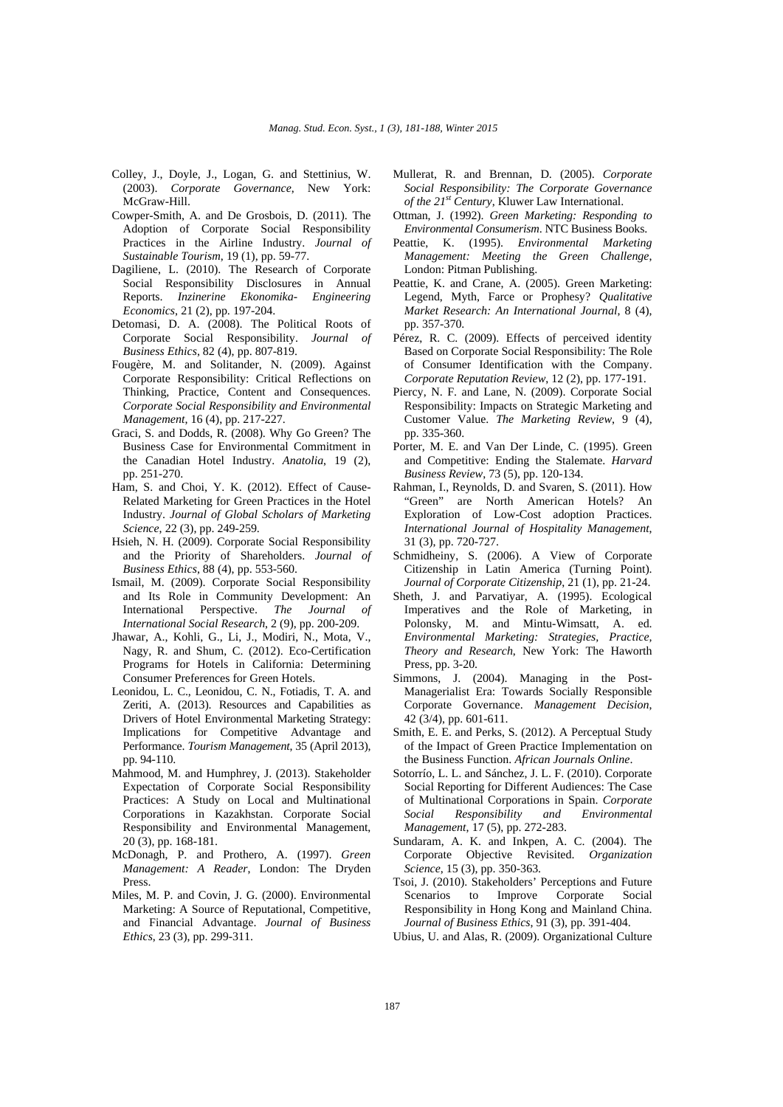- Colley, J., Doyle, J., Logan, G. and Stettinius, W. (2003). *Corporate Governance*, New York: McGraw-Hill.
- Cowper-Smith, A. and De Grosbois, D. (2011). The Adoption of Corporate Social Responsibility Practices in the Airline Industry. *Journal of Sustainable Tourism*, 19 (1), pp. 59-77.
- Dagiliene, L. (2010). The Research of Corporate Social Responsibility Disclosures in Annual Reports. *Inzinerine Ekonomika- Engineering Economics*, 21 (2), pp. 197-204.
- Detomasi, D. A. (2008). The Political Roots of Corporate Social Responsibility. *Journal of Business Ethics*, 82 (4), pp. 807-819.
- Fougère, M. and Solitander, N. (2009). Against Corporate Responsibility: Critical Reflections on Thinking, Practice, Content and Consequences. *Corporate Social Responsibility and Environmental Management*, 16 (4), pp. 217-227.
- Graci, S. and Dodds, R. (2008). Why Go Green? The Business Case for Environmental Commitment in the Canadian Hotel Industry. *Anatolia*, 19 (2), pp. 251-270.
- Ham, S. and Choi, Y. K. (2012). Effect of Cause-Related Marketing for Green Practices in the Hotel Industry. *Journal of Global Scholars of Marketing Science*, 22 (3), pp. 249-259.
- Hsieh, N. H. (2009). Corporate Social Responsibility and the Priority of Shareholders. *Journal of Business Ethics*, 88 (4), pp. 553-560.
- Ismail, M. (2009). Corporate Social Responsibility and Its Role in Community Development: An International Perspective. *The Journal of International Social Research*, 2 (9), pp. 200-209.
- Jhawar, A., Kohli, G., Li, J., Modiri, N., Mota, V., Nagy, R. and Shum, C. (2012). Eco-Certification Programs for Hotels in California: Determining Consumer Preferences for Green Hotels.
- Leonidou, L. C., Leonidou, C. N., Fotiadis, T. A. and Zeriti, A. (2013). Resources and Capabilities as Drivers of Hotel Environmental Marketing Strategy: Implications for Competitive Advantage and Performance. *Tourism Management*, 35 (April 2013), pp. 94-110.
- Mahmood, M. and Humphrey, J. (2013). Stakeholder Expectation of Corporate Social Responsibility Practices: A Study on Local and Multinational Corporations in Kazakhstan. Corporate Social Responsibility and Environmental Management, 20 (3), pp. 168-181.
- McDonagh, P. and Prothero, A. (1997). *Green Management: A Reader*, London: The Dryden Press.
- Miles, M. P. and Covin, J. G. (2000). Environmental Marketing: A Source of Reputational, Competitive, and Financial Advantage. *Journal of Business Ethics*, 23 (3), pp. 299-311.
- Mullerat, R. and Brennan, D. (2005). *Corporate Social Responsibility: The Corporate Governance of the 21st Century*, Kluwer Law International.
- Ottman, J. (1992). *Green Marketing: Responding to Environmental Consumerism*. NTC Business Books.
- Peattie, K. (1995). *Environmental Marketing Management: Meeting the Green Challenge*, London: Pitman Publishing.
- Peattie, K. and Crane, A. (2005). Green Marketing: Legend, Myth, Farce or Prophesy? *Qualitative Market Research: An International Journal*, 8 (4), pp. 357-370.
- Pérez, R. C. (2009). Effects of perceived identity Based on Corporate Social Responsibility: The Role of Consumer Identification with the Company. *Corporate Reputation Review*, 12 (2), pp. 177-191.
- Piercy, N. F. and Lane, N. (2009). Corporate Social Responsibility: Impacts on Strategic Marketing and Customer Value. *The Marketing Review*, 9 (4), pp. 335-360.
- Porter, M. E. and Van Der Linde, C. (1995). Green and Competitive: Ending the Stalemate. *Harvard Business Review*, 73 (5), pp. 120-134.
- Rahman, I., Reynolds, D. and Svaren, S. (2011). How "Green" are North American Hotels? An Exploration of Low-Cost adoption Practices. *International Journal of Hospitality Management*, 31 (3), pp. 720-727.
- Schmidheiny, S. (2006). A View of Corporate Citizenship in Latin America (Turning Point). *Journal of Corporate Citizenship*, 21 (1), pp. 21-24.
- Sheth, J. and Parvatiyar, A. (1995). Ecological Imperatives and the Role of Marketing, in Polonsky, M. and Mintu-Wimsatt, A. ed. *Environmental Marketing: Strategies, Practice, Theory and Research*, New York: The Haworth Press, pp. 3-20.
- Simmons, J. (2004). Managing in the Post-Managerialist Era: Towards Socially Responsible Corporate Governance. *Management Decision*, 42 (3/4), pp. 601-611.
- Smith, E. E. and Perks, S. (2012). A Perceptual Study of the Impact of Green Practice Implementation on the Business Function. *African Journals Online*.
- Sotorrío, L. L. and Sánchez, J. L. F. (2010). Corporate Social Reporting for Different Audiences: The Case of Multinational Corporations in Spain. *Corporate Social Responsibility and Environmental Management*, 17 (5), pp. 272-283.
- Sundaram, A. K. and Inkpen, A. C. (2004). The Corporate Objective Revisited. *Organization Science*, 15 (3), pp. 350-363.
- Tsoi, J. (2010). Stakeholders' Perceptions and Future Scenarios to Improve Corporate Social Responsibility in Hong Kong and Mainland China. *Journal of Business Ethics*, 91 (3), pp. 391-404.
- Ubius, U. and Alas, R. (2009). Organizational Culture